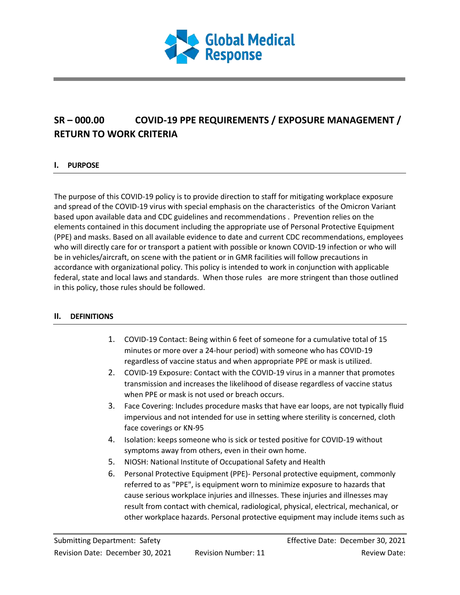

# **SR – 000.00 COVID-19 PPE REQUIREMENTS / EXPOSURE MANAGEMENT / RETURN TO WORK CRITERIA**

## **I. PURPOSE**

The purpose of this COVID-19 policy is to provide direction to staff for mitigating workplace exposure and spread of the COVID-19 virus with special emphasis on the characteristics of the Omicron Variant based upon available data and CDC guidelines and recommendations . Prevention relies on the elements contained in this document including the appropriate use of Personal Protective Equipment (PPE) and masks. Based on all available evidence to date and current CDC recommendations, employees who will directly care for or transport a patient with possible or known COVID-19 infection or who will be in vehicles/aircraft, on scene with the patient or in GMR facilities will follow precautions in accordance with organizational policy. This policy is intended to work in conjunction with applicable federal, state and local laws and standards. When those rules are more stringent than those outlined in this policy, those rules should be followed.

#### **II. DEFINITIONS**

- 1. COVID-19 Contact: Being within 6 feet of someone for a cumulative total of 15 minutes or more over a 24-hour period) with someone who has COVID-19 regardless of vaccine status and when appropriate PPE or mask is utilized.
- 2. COVID-19 Exposure: Contact with the COVID-19 virus in a manner that promotes transmission and increases the likelihood of disease regardless of vaccine status when PPE or mask is not used or breach occurs.
- 3. Face Covering: Includes procedure masks that have ear loops, are not typically fluid impervious and not intended for use in setting where sterility is concerned, cloth face coverings or KN-95
- 4. Isolation: keeps someone who is sick or tested positive for COVID-19 without symptoms away from others, even in their own home.
- 5. NIOSH: National Institute of Occupational Safety and Health
- 6. Personal Protective Equipment (PPE)- Personal protective equipment, commonly referred to as "PPE", is equipment worn to minimize exposure to hazards that cause serious workplace injuries and illnesses. These injuries and illnesses may result from contact with chemical, radiological, physical, electrical, mechanical, or other workplace hazards. Personal protective equipment may include items such as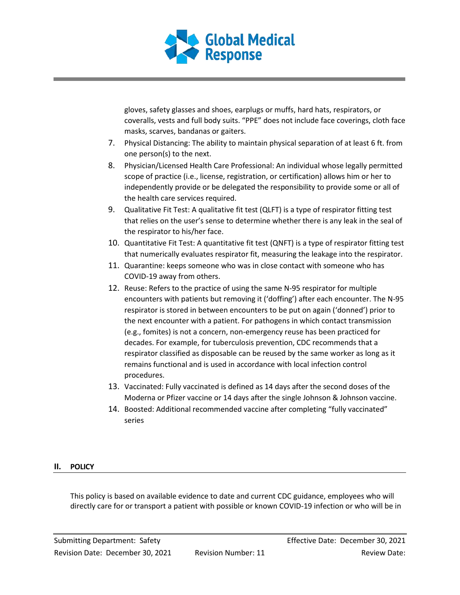

gloves, safety glasses and shoes, earplugs or muffs, hard hats, respirators, or coveralls, vests and full body suits. "PPE" does not include face coverings, cloth face masks, scarves, bandanas or gaiters.

- 7. Physical Distancing: The ability to maintain physical separation of at least 6 ft. from one person(s) to the next.
- 8. Physician/Licensed Health Care Professional: An individual whose legally permitted scope of practice (i.e., license, registration, or certification) allows him or her to independently provide or be delegated the responsibility to provide some or all of the health care services required.
- 9. Qualitative Fit Test: A qualitative fit test (QLFT) is a type of respirator fitting test that relies on the user's sense to determine whether there is any leak in the seal of the respirator to his/her face.
- 10. Quantitative Fit Test: A quantitative fit test (QNFT) is a type of respirator fitting test that numerically evaluates respirator fit, measuring the leakage into the respirator.
- 11. Quarantine: keeps someone who was in close contact with someone who has COVID-19 away from others.
- 12. Reuse: Refers to the practice of using the same N-95 respirator for multiple encounters with patients but removing it ('doffing') after each encounter. The N-95 respirator is stored in between encounters to be put on again ('donned') prior to the next encounter with a patient. For pathogens in which contact transmission (e.g., fomites) is not a concern, non-emergency reuse has been practiced for decades. For example, for tuberculosis prevention, CDC recommends that a respirator classified as disposable can be reused by the same worker as long as it remains functional and is used in accordance with local infection control procedures.
- 13. Vaccinated: Fully vaccinated is defined as 14 days after the second doses of the Moderna or Pfizer vaccine or 14 days after the single Johnson & Johnson vaccine.
- 14. Boosted: Additional recommended vaccine after completing "fully vaccinated" series

## **II. POLICY**

This policy is based on available evidence to date and current CDC guidance, employees who will directly care for or transport a patient with possible or known COVID-19 infection or who will be in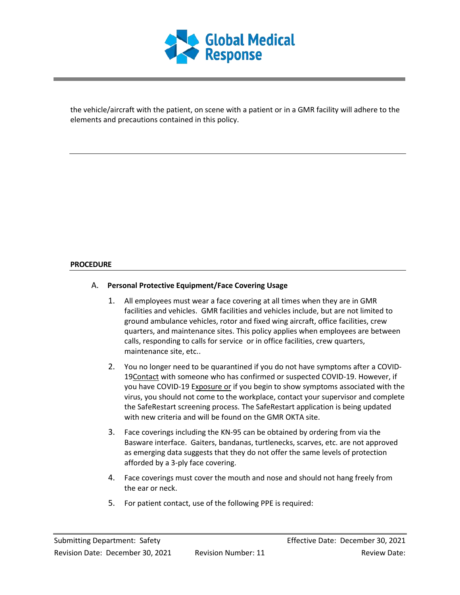

the vehicle/aircraft with the patient, on scene with a patient or in a GMR facility will adhere to the elements and precautions contained in this policy.

#### **PROCEDURE**

## A. **Personal Protective Equipment/Face Covering Usage**

- 1. All employees must wear a face covering at all times when they are in GMR facilities and vehicles. GMR facilities and vehicles include, but are not limited to ground ambulance vehicles, rotor and fixed wing aircraft, office facilities, crew quarters, and maintenance sites. This policy applies when employees are between calls, responding to calls for service or in office facilities, crew quarters, maintenance site, etc..
- 2. You no longer need to be quarantined if you do not have symptoms after a COVID-19Contact with someone who has confirmed or suspected COVID-19. However, if you have COVID-19 Exposure or if you begin to show symptoms associated with the virus, you should not come to the workplace, contact your supervisor and complete the SafeRestart screening process. The SafeRestart application is being updated with new criteria and will be found on the GMR OKTA site.
- 3. Face coverings including the KN-95 can be obtained by ordering from via the Basware interface. Gaiters, bandanas, turtlenecks, scarves, etc. are not approved as emerging data suggests that they do not offer the same levels of protection afforded by a 3-ply face covering.
- 4. Face coverings must cover the mouth and nose and should not hang freely from the ear or neck.
- 5. For patient contact, use of the following PPE is required: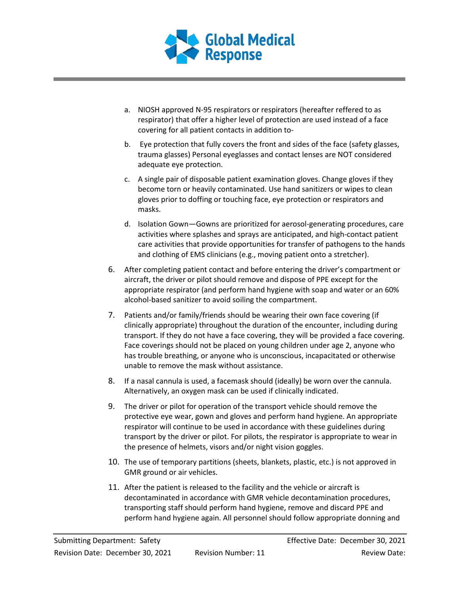

- a. NIOSH approved N-95 respirators or respirators (hereafter reffered to as respirator) that offer a higher level of protection are used instead of a face covering for all patient contacts in addition to-
- b. Eye protection that fully covers the front and sides of the face (safety glasses, trauma glasses) Personal eyeglasses and contact lenses are NOT considered adequate eye protection.
- c. A single pair of disposable patient examination gloves. Change gloves if they become torn or heavily contaminated. Use hand sanitizers or wipes to clean gloves prior to doffing or touching face, eye protection or respirators and masks.
- d. Isolation Gown—Gowns are prioritized for aerosol-generating procedures, care activities where splashes and sprays are anticipated, and high-contact patient care activities that provide opportunities for transfer of pathogens to the hands and clothing of EMS clinicians (e.g., moving patient onto a stretcher).
- 6. After completing patient contact and before entering the driver's compartment or aircraft, the driver or pilot should remove and dispose of PPE except for the appropriate respirator (and perform hand hygiene with soap and water or an 60% alcohol-based sanitizer to avoid soiling the compartment.
- 7. Patients and/or family/friends should be wearing their own face covering (if clinically appropriate) throughout the duration of the encounter, including during transport. If they do not have a face covering, they will be provided a face covering. Face coverings should not be placed on young children under age 2, anyone who has trouble breathing, or anyone who is unconscious, incapacitated or otherwise unable to remove the mask without assistance.
- 8. If a nasal cannula is used, a facemask should (ideally) be worn over the cannula. Alternatively, an oxygen mask can be used if clinically indicated.
- 9. The driver or pilot for operation of the transport vehicle should remove the protective eye wear, gown and gloves and perform hand hygiene. An appropriate respirator will continue to be used in accordance with these guidelines during transport by the driver or pilot. For pilots, the respirator is appropriate to wear in the presence of helmets, visors and/or night vision goggles.
- 10. The use of temporary partitions (sheets, blankets, plastic, etc.) is not approved in GMR ground or air vehicles.
- 11. After the patient is released to the facility and the vehicle or aircraft is decontaminated in accordance with GMR vehicle decontamination procedures, transporting staff should perform hand hygiene, remove and discard PPE and perform hand hygiene again. All personnel should follow appropriate donning and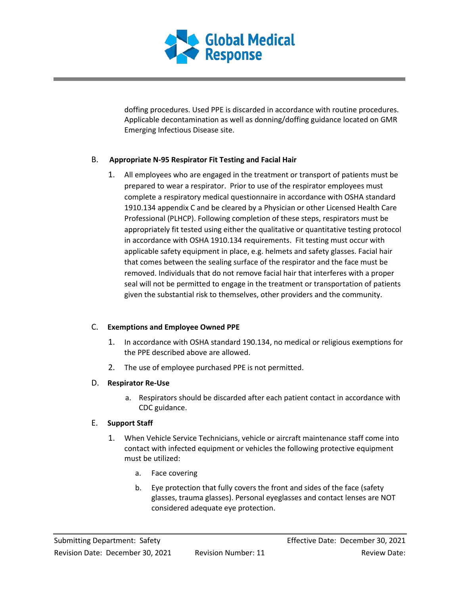

doffing procedures. Used PPE is discarded in accordance with routine procedures. Applicable decontamination as well as donning/doffing guidance located on GMR Emerging Infectious Disease site.

## B. **Appropriate N-95 Respirator Fit Testing and Facial Hair**

1. All employees who are engaged in the treatment or transport of patients must be prepared to wear a respirator. Prior to use of the respirator employees must complete a respiratory medical questionnaire in accordance with OSHA standard 1910.134 appendix C and be cleared by a Physician or other Licensed Health Care Professional (PLHCP). Following completion of these steps, respirators must be appropriately fit tested using either the qualitative or quantitative testing protocol in accordance with OSHA 1910.134 requirements. Fit testing must occur with applicable safety equipment in place, e.g. helmets and safety glasses. Facial hair that comes between the sealing surface of the respirator and the face must be removed. Individuals that do not remove facial hair that interferes with a proper seal will not be permitted to engage in the treatment or transportation of patients given the substantial risk to themselves, other providers and the community.

#### C. **Exemptions and Employee Owned PPE**

- 1. In accordance with OSHA standard 190.134, no medical or religious exemptions for the PPE described above are allowed.
- 2. The use of employee purchased PPE is not permitted.

#### D. **Respirator Re-Use**

a. Respirators should be discarded after each patient contact in accordance with CDC guidance.

#### E. **Support Staff**

- 1. When Vehicle Service Technicians, vehicle or aircraft maintenance staff come into contact with infected equipment or vehicles the following protective equipment must be utilized:
	- a. Face covering
	- b. Eye protection that fully covers the front and sides of the face (safety glasses, trauma glasses). Personal eyeglasses and contact lenses are NOT considered adequate eye protection.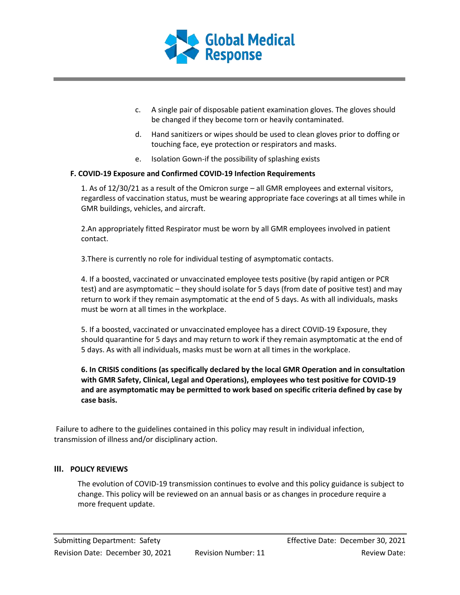

- c. A single pair of disposable patient examination gloves. The gloves should be changed if they become torn or heavily contaminated.
- d. Hand sanitizers or wipes should be used to clean gloves prior to doffing or touching face, eye protection or respirators and masks.
- e. Isolation Gown-if the possibility of splashing exists

#### **F. COVID-19 Exposure and Confirmed COVID-19 Infection Requirements**

1. As of 12/30/21 as a result of the Omicron surge – all GMR employees and external visitors, regardless of vaccination status, must be wearing appropriate face coverings at all times while in GMR buildings, vehicles, and aircraft.

2.An appropriately fitted Respirator must be worn by all GMR employees involved in patient contact.

3.There is currently no role for individual testing of asymptomatic contacts.

4. If a boosted, vaccinated or unvaccinated employee tests positive (by rapid antigen or PCR test) and are asymptomatic – they should isolate for 5 days (from date of positive test) and may return to work if they remain asymptomatic at the end of 5 days. As with all individuals, masks must be worn at all times in the workplace.

5. If a boosted, vaccinated or unvaccinated employee has a direct COVID-19 Exposure, they should quarantine for 5 days and may return to work if they remain asymptomatic at the end of 5 days. As with all individuals, masks must be worn at all times in the workplace.

**6. In CRISIS conditions (as specifically declared by the local GMR Operation and in consultation with GMR Safety, Clinical, Legal and Operations), employees who test positive for COVID-19 and are asymptomatic may be permitted to work based on specific criteria defined by case by case basis.**

Failure to adhere to the guidelines contained in this policy may result in individual infection, transmission of illness and/or disciplinary action.

#### **III. POLICY REVIEWS**

The evolution of COVID-19 transmission continues to evolve and this policy guidance is subject to change. This policy will be reviewed on an annual basis or as changes in procedure require a more frequent update.